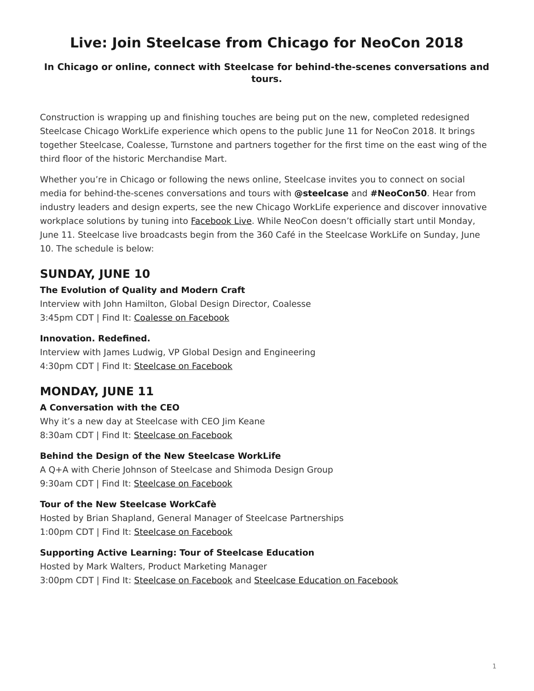# <span id="page-0-0"></span>**Live: Join Steelcase from Chicago for NeoCon 2018**

#### **In Chicago or online, connect with Steelcase for behind-the-scenes conversations and tours.**

Construction is wrapping up and finishing touches are being put on the new, completed redesigned Steelcase Chicago WorkLife experience which opens to the public June 11 for NeoCon 2018. It brings together Steelcase, Coalesse, Turnstone and partners together for the first time on the east wing of the third floor of the historic Merchandise Mart.

Whether you're in Chicago or following the news online, Steelcase invites you to connect on social media for behind-the-scenes conversations and tours with **@steelcase** and **#NeoCon50**. Hear from industry leaders and design experts, see the new Chicago WorkLife experience and discover innovative workplace solutions by tuning into **Facebook Live**. While NeoCon doesn't officially start until Monday, June 11. Steelcase live broadcasts begin from the 360 Café in the Steelcase WorkLife on Sunday, June 10. The schedule is below:

# **SUNDAY, JUNE 10**

#### **The Evolution of Quality and Modern Craft**

Interview with John Hamilton, Global Design Director, Coalesse 3:45pm CDT | Find It: [Coalesse on Facebook](http://facebook.com/coalesse)

### **Innovation. Redefined.**

Interview with James Ludwig, VP Global Design and Engineering 4:30pm CDT | Find It: [Steelcase on Facebook](http://facebook.com/steelcase)

# **MONDAY, JUNE 11**

## **A Conversation with the CEO**

Why it's a new day at Steelcase with CEO Jim Keane 8:30am CDT | Find It: [Steelcase on Facebook](http://facebook.com/steelcase)

#### **Behind the Design of the New Steelcase WorkLife**

A Q+A with Cherie Johnson of Steelcase and Shimoda Design Group 9:30am CDT | Find It: [Steelcase on Facebook](http://facebook.com/steelcase)

## **Tour of the New Steelcase WorkCafè**

Hosted by Brian Shapland, General Manager of Steelcase Partnerships 1:00pm CDT | Find It: [Steelcase on Facebook](http://facebook.com/steelcase)

#### **Supporting Active Learning: Tour of Steelcase Education**

Hosted by Mark Walters, Product Marketing Manager 3:00pm CDT | Find It: [Steelcase on Facebook](http://facebook.com/steelcase) and [Steelcase Education on Facebook](https://www.facebook.com/SteelcaseEducation/)